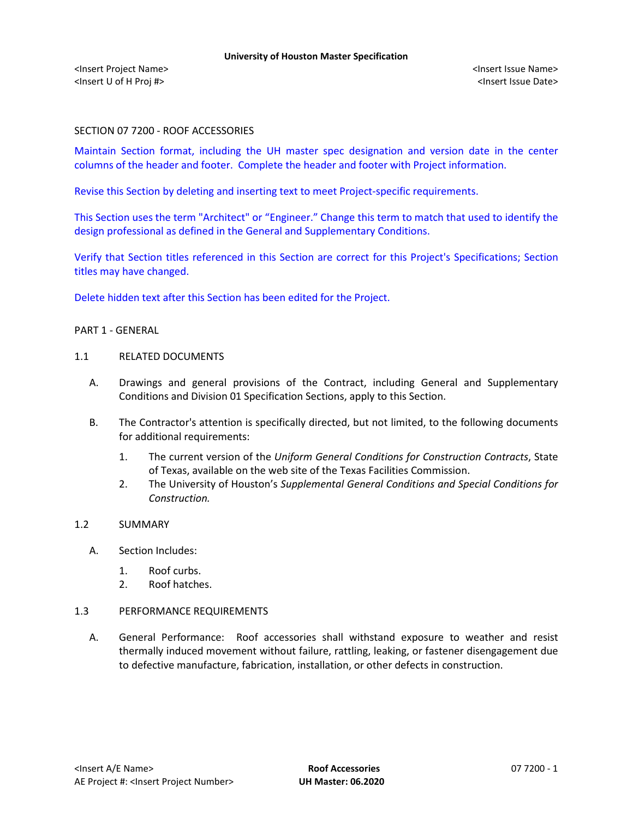## SECTION 07 7200 - ROOF ACCESSORIES

Maintain Section format, including the UH master spec designation and version date in the center columns of the header and footer. Complete the header and footer with Project information.

Revise this Section by deleting and inserting text to meet Project-specific requirements.

This Section uses the term "Architect" or "Engineer." Change this term to match that used to identify the design professional as defined in the General and Supplementary Conditions.

Verify that Section titles referenced in this Section are correct for this Project's Specifications; Section titles may have changed.

Delete hidden text after this Section has been edited for the Project.

#### PART 1 - GENERAL

#### 1.1 RELATED DOCUMENTS

- A. Drawings and general provisions of the Contract, including General and Supplementary Conditions and Division 01 Specification Sections, apply to this Section.
- B. The Contractor's attention is specifically directed, but not limited, to the following documents for additional requirements:
	- 1. The current version of the *Uniform General Conditions for Construction Contracts*, State of Texas, available on the web site of the Texas Facilities Commission.
	- 2. The University of Houston's *Supplemental General Conditions and Special Conditions for Construction.*

# 1.2 SUMMARY

- A. Section Includes:
	- 1. Roof curbs.
	- 2. Roof hatches.

### 1.3 PERFORMANCE REQUIREMENTS

A. General Performance: Roof accessories shall withstand exposure to weather and resist thermally induced movement without failure, rattling, leaking, or fastener disengagement due to defective manufacture, fabrication, installation, or other defects in construction.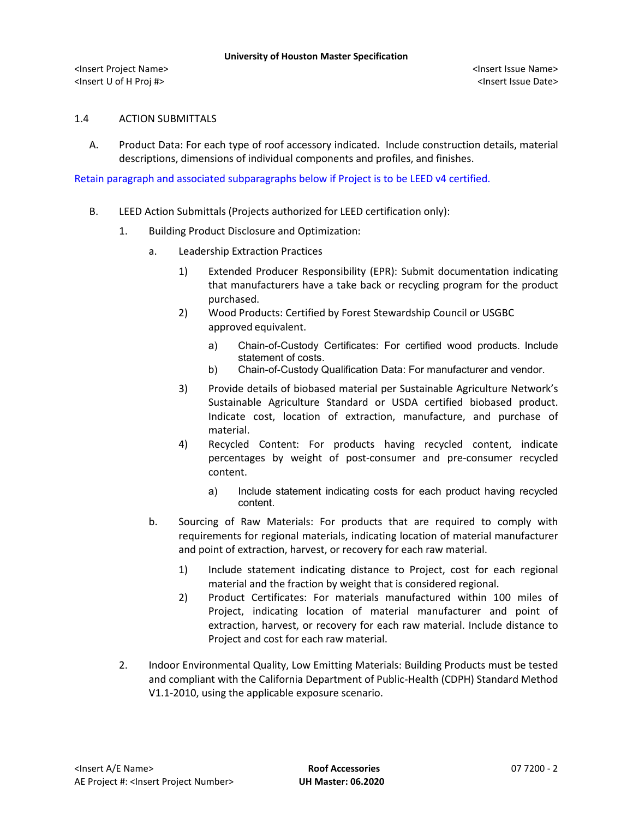# 1.4 ACTION SUBMITTALS

A. Product Data: For each type of roof accessory indicated. Include construction details, material descriptions, dimensions of individual components and profiles, and finishes.

Retain paragraph and associated subparagraphs below if Project is to be LEED v4 certified.

- B. LEED Action Submittals (Projects authorized for LEED certification only):
	- 1. Building Product Disclosure and Optimization:
		- a. Leadership Extraction Practices
			- 1) Extended Producer Responsibility (EPR): Submit documentation indicating that manufacturers have a take back or recycling program for the product purchased.
			- 2) Wood Products: Certified by Forest Stewardship Council or USGBC approved equivalent.
				- a) [Chain-of-Custody Certificates:](http://www.arcomnet.com/sustainable_design.aspx?topic=146) For certified wood products. Include statement of costs.
				- b) [Chain-of-Custody Qualification Data:](http://www.arcomnet.com/sustainable_design.aspx?topic=148) For manufacturer and vendor.
			- 3) Provide details of biobased material per Sustainable Agriculture Network's Sustainable Agriculture Standard or USDA certified biobased product. Indicate cost, location of extraction, manufacture, and purchase of material.
			- 4) Recycled Content: For products having recycled content, indicate percentages by weight of post-consumer and pre-consumer recycled content.
				- a) Include statement indicating costs for each product having recycled content.
		- b. Sourcing of Raw Materials: For products that are required to comply with requirements for regional materials, indicating location of material manufacturer and point of extraction, harvest, or recovery for each raw material.
			- 1) Include statement indicating distance to Project, cost for each regional material and the fraction by weight that is considered regional.
			- 2) Product Certificates: For materials manufactured within 100 miles of Project, indicating location of material manufacturer and point of extraction, harvest, or recovery for each raw material. Include distance to Project and cost for each raw material.
	- 2. Indoor Environmental Quality, Low Emitting Materials: Building Products must be tested and compliant with the California Department of Public-Health (CDPH) Standard Method V1.1-2010, using the applicable exposure scenario.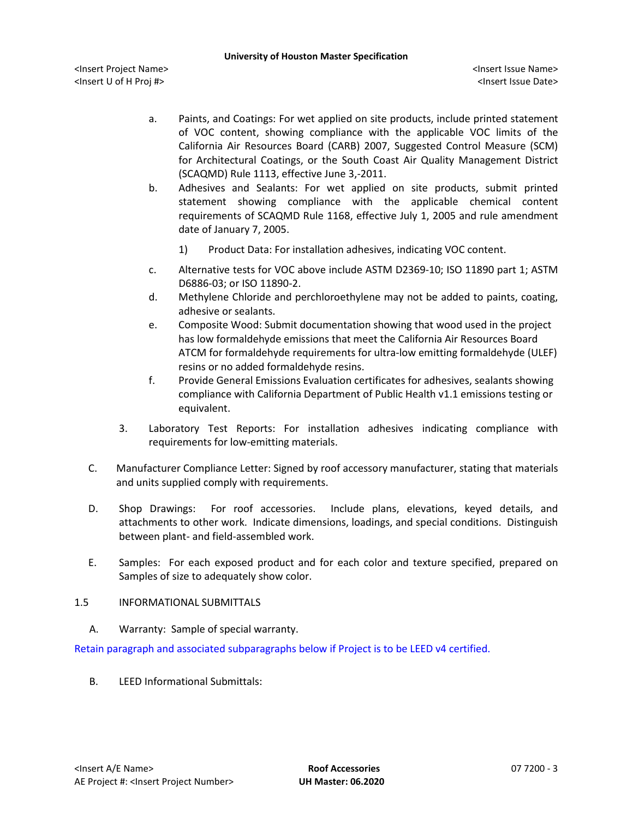- a. Paints, and Coatings: For wet applied on site products, include printed statement of VOC content, showing compliance with the applicable VOC limits of the California Air Resources Board (CARB) 2007, Suggested Control Measure (SCM) for Architectural Coatings, or the South Coast Air Quality Management District (SCAQMD) Rule 1113, effective June 3,-2011.
- b. Adhesives and Sealants: For wet applied on site products, submit printed statement showing compliance with the applicable chemical content requirements of SCAQMD Rule 1168, effective July 1, 2005 and rule amendment date of January 7, 2005.
	- 1) Product Data: For installation adhesives, indicating VOC content.
- c. Alternative tests for VOC above include ASTM D2369-10; ISO 11890 part 1; ASTM D6886-03; or ISO 11890-2.
- d. Methylene Chloride and perchloroethylene may not be added to paints, coating, adhesive or sealants.
- e. Composite Wood: Submit documentation showing that wood used in the project has low formaldehyde emissions that meet the California Air Resources Board ATCM for formaldehyde requirements for ultra-low emitting formaldehyde (ULEF) resins or no added formaldehyde resins.
- f. Provide General Emissions Evaluation certificates for adhesives, sealants showing compliance with California Department of Public Health v1.1 emissions testing or equivalent.
- 3. Laboratory Test Reports: For installation adhesives indicating compliance with requirements for low-emitting materials.
- C. Manufacturer Compliance Letter: Signed by roof accessory manufacturer, stating that materials and units supplied comply with requirements.
- D. Shop Drawings: For roof accessories. Include plans, elevations, keyed details, and attachments to other work. Indicate dimensions, loadings, and special conditions. Distinguish between plant- and field-assembled work.
- E. Samples: For each exposed product and for each color and texture specified, prepared on Samples of size to adequately show color.
- 1.5 INFORMATIONAL SUBMITTALS
	- A. Warranty: Sample of special warranty.

Retain paragraph and associated subparagraphs below if Project is to be LEED v4 certified.

B. LEED Informational Submittals: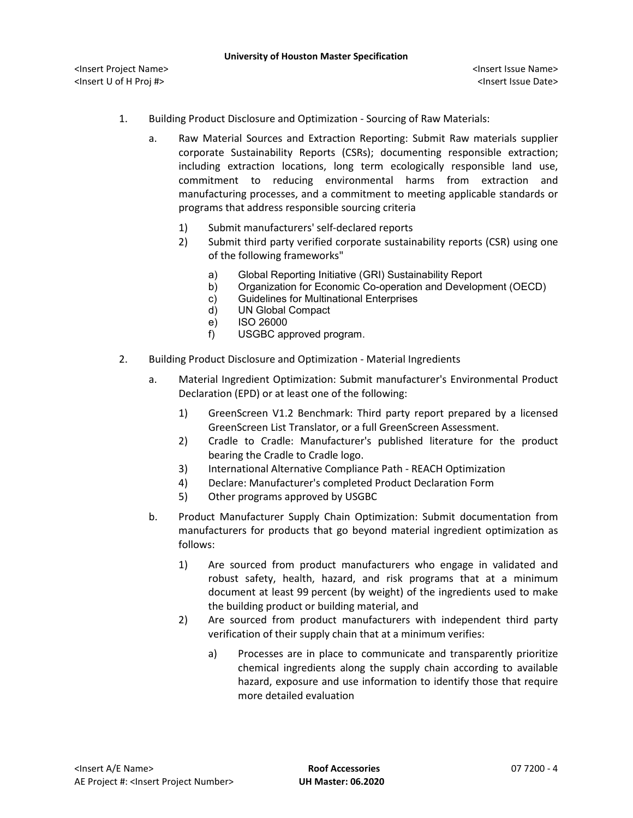- 1. Building Product Disclosure and Optimization Sourcing of Raw Materials:
	- a. Raw Material Sources and Extraction Reporting: Submit Raw materials supplier corporate Sustainability Reports (CSRs); documenting responsible extraction; including extraction locations, long term ecologically responsible land use, commitment to reducing environmental harms from extraction and manufacturing processes, and a commitment to meeting applicable standards or programs that address responsible sourcing criteria
		- 1) Submit manufacturers' self-declared reports
		- 2) Submit third party verified corporate sustainability reports (CSR) using one of the following frameworks"
			- a) Global Reporting Initiative (GRI) Sustainability Report
			- b) Organization for Economic Co-operation and Development (OECD)
			- c) Guidelines for Multinational Enterprises
			- d) UN Global Compact
			- e) ISO 26000
			- f) USGBC approved program.
- 2. Building Product Disclosure and Optimization Material Ingredients
	- a. Material Ingredient Optimization: Submit manufacturer's Environmental Product Declaration (EPD) or at least one of the following:
		- 1) GreenScreen V1.2 Benchmark: Third party report prepared by a licensed GreenScreen List Translator, or a full GreenScreen Assessment.
		- 2) Cradle to Cradle: Manufacturer's published literature for the product bearing the Cradle to Cradle logo.
		- 3) International Alternative Compliance Path REACH Optimization
		- 4) Declare: Manufacturer's completed Product Declaration Form
		- 5) Other programs approved by USGBC
	- b. Product Manufacturer Supply Chain Optimization: Submit documentation from manufacturers for products that go beyond material ingredient optimization as follows:
		- 1) Are sourced from product manufacturers who engage in validated and robust safety, health, hazard, and risk programs that at a minimum document at least 99 percent (by weight) of the ingredients used to make the building product or building material, and
		- 2) Are sourced from product manufacturers with independent third party verification of their supply chain that at a minimum verifies:
			- a) Processes are in place to communicate and transparently prioritize chemical ingredients along the supply chain according to available hazard, exposure and use information to identify those that require more detailed evaluation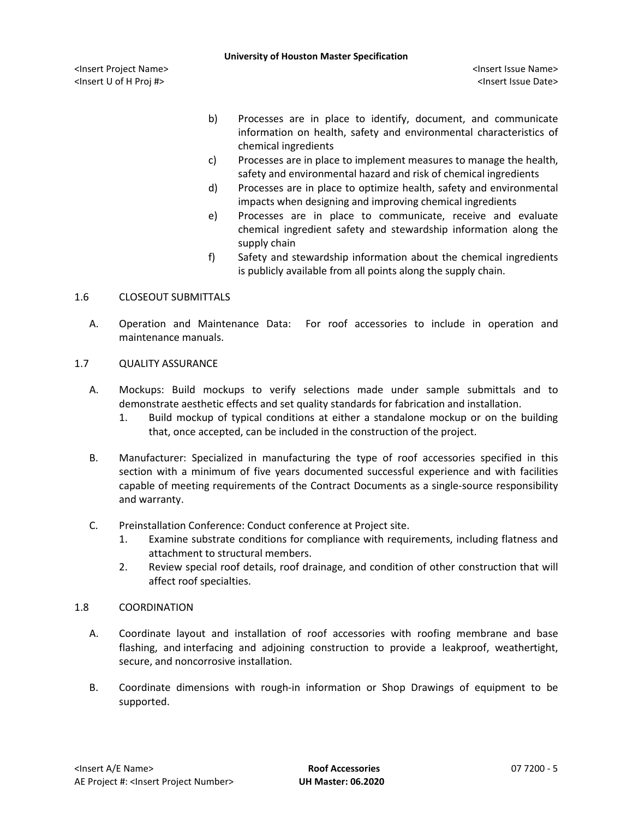- b) Processes are in place to identify, document, and communicate information on health, safety and environmental characteristics of chemical ingredients
- c) Processes are in place to implement measures to manage the health, safety and environmental hazard and risk of chemical ingredients
- d) Processes are in place to optimize health, safety and environmental impacts when designing and improving chemical ingredients
- e) Processes are in place to communicate, receive and evaluate chemical ingredient safety and stewardship information along the supply chain
- f) Safety and stewardship information about the chemical ingredients is publicly available from all points along the supply chain.

## 1.6 CLOSEOUT SUBMITTALS

A. Operation and Maintenance Data: For roof accessories to include in operation and maintenance manuals.

## 1.7 QUALITY ASSURANCE

- A. Mockups: Build mockups to verify selections made under sample submittals and to demonstrate aesthetic effects and set quality standards for fabrication and installation.
	- 1. Build mockup of typical conditions at either a standalone mockup or on the building that, once accepted, can be included in the construction of the project.
- B. Manufacturer: Specialized in manufacturing the type of roof accessories specified in this section with a minimum of five years documented successful experience and with facilities capable of meeting requirements of the Contract Documents as a single-source responsibility and warranty.
- C. Preinstallation Conference: Conduct conference at Project site.
	- 1. Examine substrate conditions for compliance with requirements, including flatness and attachment to structural members.
	- 2. Review special roof details, roof drainage, and condition of other construction that will affect roof specialties.

### 1.8 COORDINATION

- A. Coordinate layout and installation of roof accessories with roofing membrane and base flashing, and interfacing and adjoining construction to provide a leakproof, weathertight, secure, and noncorrosive installation.
- B. Coordinate dimensions with rough-in information or Shop Drawings of equipment to be supported.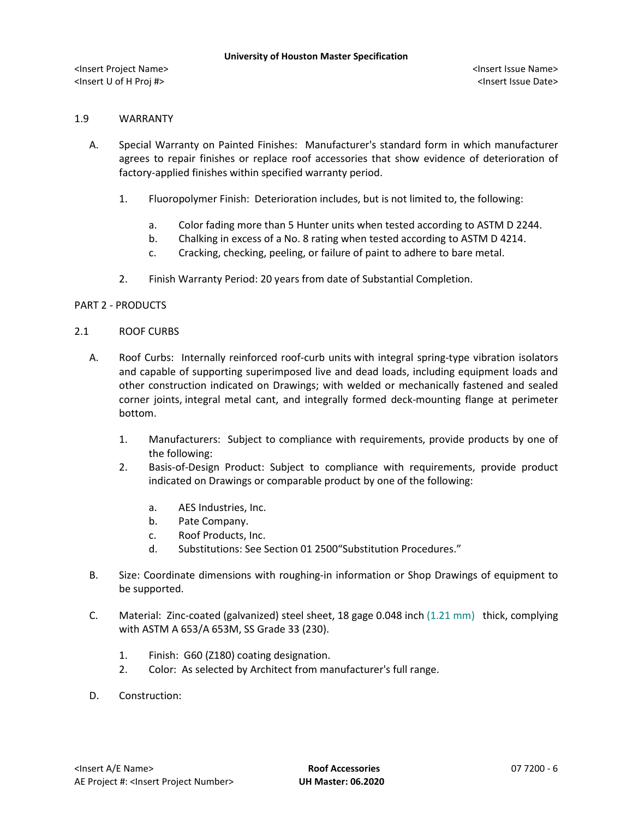## 1.9 WARRANTY

- A. Special Warranty on Painted Finishes: Manufacturer's standard form in which manufacturer agrees to repair finishes or replace roof accessories that show evidence of deterioration of factory-applied finishes within specified warranty period.
	- 1. Fluoropolymer Finish: Deterioration includes, but is not limited to, the following:
		- a. Color fading more than 5 Hunter units when tested according to ASTM D 2244.
		- b. Chalking in excess of a No. 8 rating when tested according to ASTM D 4214.
		- c. Cracking, checking, peeling, or failure of paint to adhere to bare metal.
	- 2. Finish Warranty Period: 20 years from date of Substantial Completion.

### PART 2 - PRODUCTS

### 2.1 ROOF CURBS

- A. Roof Curbs: Internally reinforced roof-curb units with integral spring-type vibration isolators and capable of supporting superimposed live and dead loads, including equipment loads and other construction indicated on Drawings; with welded or mechanically fastened and sealed corner joints, integral metal cant, and integrally formed deck-mounting flange at perimeter bottom.
	- 1. Manufacturers: Subject to compliance with requirements, provide products by one of the following:
	- 2. [Basis-of-Design Product:](http://www.specagent.com/LookUp/?ulid=5183&mf=04&src=wd) Subject to compliance with requirements, provide product indicated on Drawings or comparable product by one of the following:
		- a. [AES Industries, Inc.](http://www.specagent.com/LookUp/?uid=123456801162&mf=04&src=wd)
		- b. [Pate Company.](http://www.specagent.com/LookUp/?uid=123456801169&mf=04&src=wd)
		- c. [Roof Products, Inc.](http://www.specagent.com/LookUp/?uid=123456801170&mf=04&src=wd)
		- d. Substitutions: See Section 01 2500"Substitution Procedures."
- B. Size: Coordinate dimensions with roughing-in information or Shop Drawings of equipment to be supported.
- C. Material: Zinc-coated (galvanized) steel sheet, 18 gage 0.048 inch (1.21 mm) thick, complying with ASTM A 653/A 653M, SS Grade 33 (230).
	- 1. Finish: G60 (Z180) coating designation.
	- 2. Color: As selected by Architect from manufacturer's full range.
- D. Construction: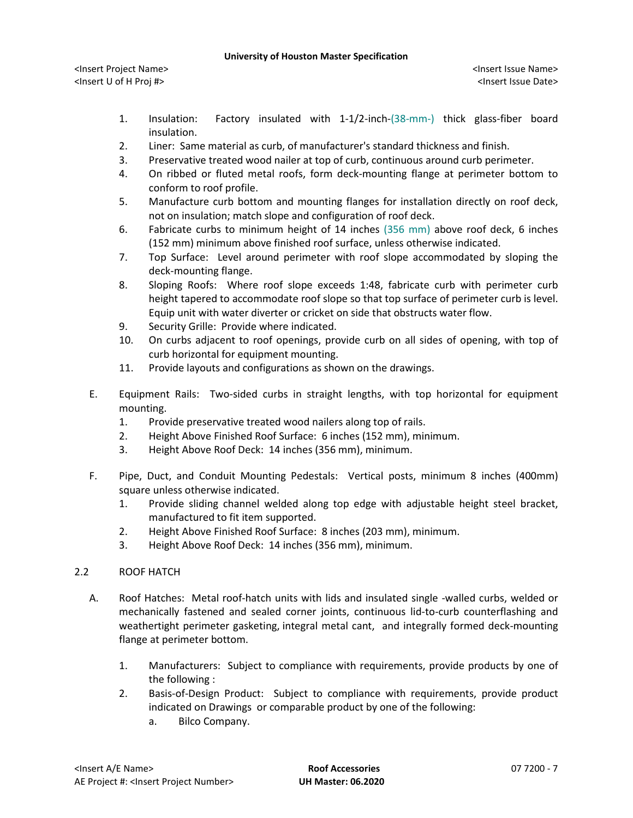- 1. Insulation: Factory insulated with 1-1/2-inch-(38-mm-) thick glass-fiber board insulation.
- 2. Liner: Same material as curb, of manufacturer's standard thickness and finish.
- 3. Preservative treated wood nailer at top of curb, continuous around curb perimeter.
- 4. On ribbed or fluted metal roofs, form deck-mounting flange at perimeter bottom to conform to roof profile.
- 5. Manufacture curb bottom and mounting flanges for installation directly on roof deck, not on insulation; match slope and configuration of roof deck.
- 6. Fabricate curbs to minimum height of 14 inches (356 mm) above roof deck, 6 inches (152 mm) minimum above finished roof surface, unless otherwise indicated.
- 7. Top Surface: Level around perimeter with roof slope accommodated by sloping the deck-mounting flange.
- 8. Sloping Roofs: Where roof slope exceeds 1:48, fabricate curb with perimeter curb height tapered to accommodate roof slope so that top surface of perimeter curb is level. Equip unit with water diverter or cricket on side that obstructs water flow.
- 9. Security Grille: Provide where indicated.
- 10. On curbs adjacent to roof openings, provide curb on all sides of opening, with top of curb horizontal for equipment mounting.
- 11. Provide layouts and configurations as shown on the drawings.
- E. Equipment Rails: Two-sided curbs in straight lengths, with top horizontal for equipment mounting.
	- 1. Provide preservative treated wood nailers along top of rails.
	- 2. Height Above Finished Roof Surface: 6 inches (152 mm), minimum.
	- 3. Height Above Roof Deck: 14 inches (356 mm), minimum.
- F. Pipe, Duct, and Conduit Mounting Pedestals: Vertical posts, minimum 8 inches (400mm) square unless otherwise indicated.
	- 1. Provide sliding channel welded along top edge with adjustable height steel bracket, manufactured to fit item supported.
	- 2. Height Above Finished Roof Surface: 8 inches (203 mm), minimum.
	- 3. Height Above Roof Deck: 14 inches (356 mm), minimum.

# 2.2 ROOF HATCH

- A. Roof Hatches: Metal roof-hatch units with lids and insulated single -walled curbs, welded or mechanically fastened and sealed corner joints, continuous lid-to-curb counterflashing and weathertight perimeter gasketing, integral metal cant, and integrally formed deck-mounting flange at perimeter bottom.
	- 1. Manufacturers: Subject to compliance with requirements, provide products by one of the following :
	- 2. [Basis-of-Design Product:](http://www.specagent.com/LookUp/?ulid=5190&mf=04&src=wd) Subject to compliance with requirements, provide product indicated on Drawings or comparable product by one of the following:
		- a. Bilco Company.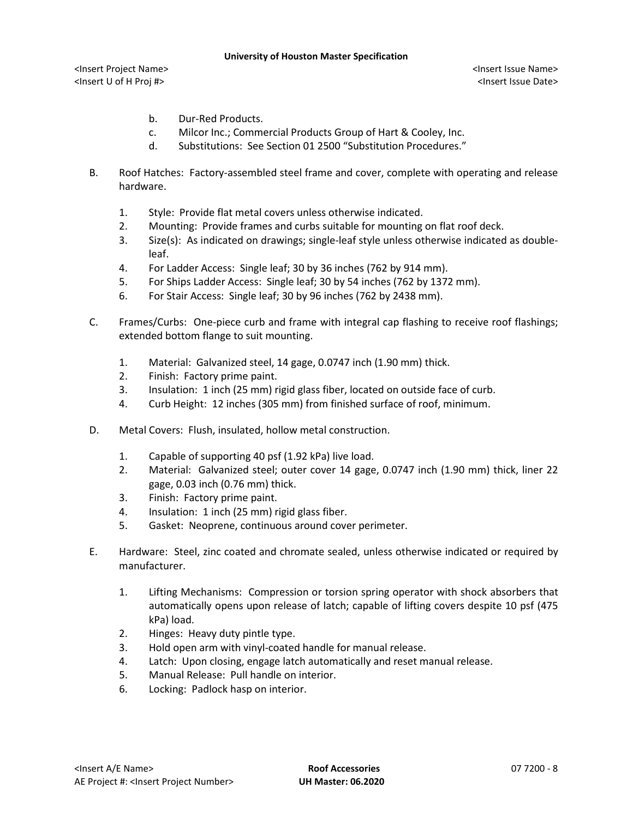#### **University of Houston Master Specification**

<Insert Project Name> <Insert Issue Name> <Insert U of H Proj #> <Insert Issue Date>

- b. [Dur-Red Products.](http://www.specagent.com/LookUp/?uid=123456801188&mf=04&src=wd)
- c. [Milcor Inc.; Commercial Products Group of Hart](http://www.specagent.com/LookUp/?uid=123456801192&mf=04&src=wd) & Cooley, Inc.
- d. Substitutions: See Section 01 2500 "Substitution Procedures."
- B. Roof Hatches: Factory-assembled steel frame and cover, complete with operating and release hardware.
	- 1. Style: Provide flat metal covers unless otherwise indicated.
	- 2. Mounting: Provide frames and curbs suitable for mounting on flat roof deck.
	- 3. Size(s): As indicated on drawings; single-leaf style unless otherwise indicated as doubleleaf.
	- 4. For Ladder Access: Single leaf; 30 by 36 inches (762 by 914 mm).
	- 5. For Ships Ladder Access: Single leaf; 30 by 54 inches (762 by 1372 mm).
	- 6. For Stair Access: Single leaf; 30 by 96 inches (762 by 2438 mm).
- C. Frames/Curbs: One-piece curb and frame with integral cap flashing to receive roof flashings; extended bottom flange to suit mounting.
	- 1. Material: Galvanized steel, 14 gage, 0.0747 inch (1.90 mm) thick.
	- 2. Finish: Factory prime paint.
	- 3. Insulation: 1 inch (25 mm) rigid glass fiber, located on outside face of curb.
	- 4. Curb Height: 12 inches (305 mm) from finished surface of roof, minimum.
- D. Metal Covers: Flush, insulated, hollow metal construction.
	- 1. Capable of supporting 40 psf (1.92 kPa) live load.
	- 2. Material: Galvanized steel; outer cover 14 gage, 0.0747 inch (1.90 mm) thick, liner 22 gage, 0.03 inch (0.76 mm) thick.
	- 3. Finish: Factory prime paint.
	- 4. Insulation: 1 inch (25 mm) rigid glass fiber.
	- 5. Gasket: Neoprene, continuous around cover perimeter.
- E. Hardware: Steel, zinc coated and chromate sealed, unless otherwise indicated or required by manufacturer.
	- 1. Lifting Mechanisms: Compression or torsion spring operator with shock absorbers that automatically opens upon release of latch; capable of lifting covers despite 10 psf (475 kPa) load.
	- 2. Hinges: Heavy duty pintle type.
	- 3. Hold open arm with vinyl-coated handle for manual release.
	- 4. Latch: Upon closing, engage latch automatically and reset manual release.
	- 5. Manual Release: Pull handle on interior.
	- 6. Locking: Padlock hasp on interior.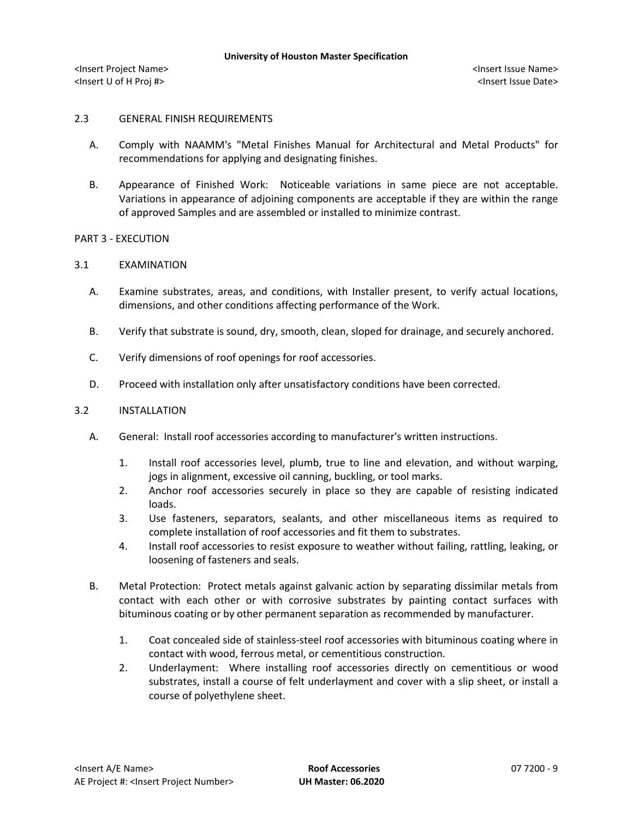## 2.3 GENERAL FINISH REQUIREMENTS

- A. Comply with NAAMM's "Metal Finishes Manual for Architectural and Metal Products" for recommendations for applying and designating finishes.
- B. Appearance of Finished Work: Noticeable variations in same piece are not acceptable. Variations in appearance of adjoining components are acceptable if they are within the range of approved Samples and are assembled or installed to minimize contrast.

### PART 3 - EXECUTION

## 3.1 EXAMINATION

- A. Examine substrates, areas, and conditions, with Installer present, to verify actual locations, dimensions, and other conditions affecting performance of the Work.
- B. Verify that substrate is sound, dry, smooth, clean, sloped for drainage, and securely anchored.
- C. Verify dimensions of roof openings for roof accessories.
- D. Proceed with installation only after unsatisfactory conditions have been corrected.

### 3.2 INSTALLATION

- A. General: Install roof accessories according to manufacturer's written instructions.
	- 1. Install roof accessories level, plumb, true to line and elevation, and without warping, jogs in alignment, excessive oil canning, buckling, or tool marks.
	- 2. Anchor roof accessories securely in place so they are capable of resisting indicated loads.
	- 3. Use fasteners, separators, sealants, and other miscellaneous items as required to complete installation of roof accessories and fit them to substrates.
	- 4. Install roof accessories to resist exposure to weather without failing, rattling, leaking, or loosening of fasteners and seals.
- B. Metal Protection: Protect metals against galvanic action by separating dissimilar metals from contact with each other or with corrosive substrates by painting contact surfaces with bituminous coating or by other permanent separation as recommended by manufacturer.
	- 1. Coat concealed side of stainless-steel roof accessories with bituminous coating where in contact with wood, ferrous metal, or cementitious construction.
	- 2. Underlayment: Where installing roof accessories directly on cementitious or wood substrates, install a course of felt underlayment and cover with a slip sheet, or install a course of polyethylene sheet.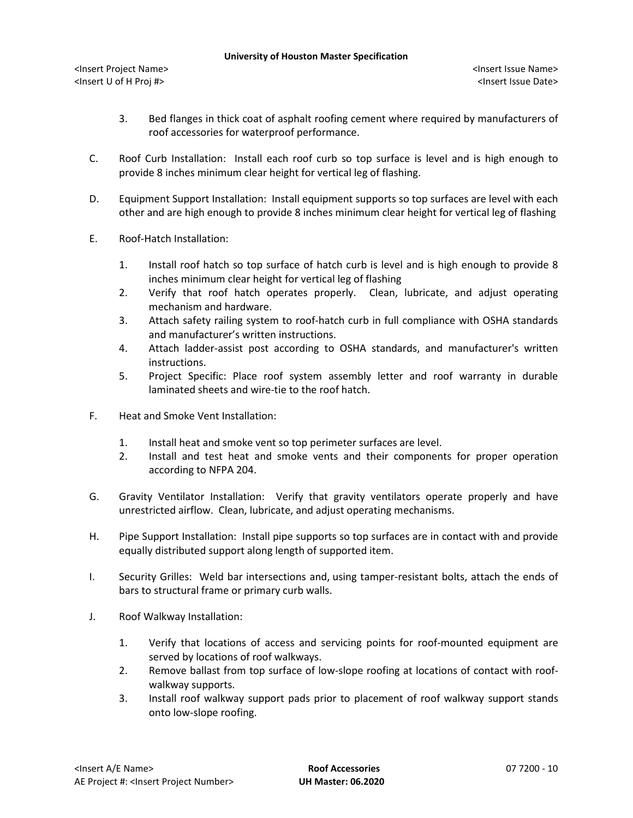- 3. Bed flanges in thick coat of asphalt roofing cement where required by manufacturers of roof accessories for waterproof performance.
- C. Roof Curb Installation: Install each roof curb so top surface is level and is high enough to provide 8 inches minimum clear height for vertical leg of flashing.
- D. Equipment Support Installation: Install equipment supports so top surfaces are level with each other and are high enough to provide 8 inches minimum clear height for vertical leg of flashing
- E. Roof-Hatch Installation:
	- 1. Install roof hatch so top surface of hatch curb is level and is high enough to provide 8 inches minimum clear height for vertical leg of flashing
	- 2. Verify that roof hatch operates properly. Clean, lubricate, and adjust operating mechanism and hardware.
	- 3. Attach safety railing system to roof-hatch curb in full compliance with OSHA standards and manufacturer's written instructions.
	- 4. Attach ladder-assist post according to OSHA standards, and manufacturer's written instructions.
	- 5. Project Specific: Place roof system assembly letter and roof warranty in durable laminated sheets and wire-tie to the roof hatch.
- F. Heat and Smoke Vent Installation:
	- 1. Install heat and smoke vent so top perimeter surfaces are level.
	- 2. Install and test heat and smoke vents and their components for proper operation according to NFPA 204.
- G. Gravity Ventilator Installation: Verify that gravity ventilators operate properly and have unrestricted airflow. Clean, lubricate, and adjust operating mechanisms.
- H. Pipe Support Installation: Install pipe supports so top surfaces are in contact with and provide equally distributed support along length of supported item.
- I. Security Grilles: Weld bar intersections and, using tamper-resistant bolts, attach the ends of bars to structural frame or primary curb walls.
- J. Roof Walkway Installation:
	- 1. Verify that locations of access and servicing points for roof-mounted equipment are served by locations of roof walkways.
	- 2. Remove ballast from top surface of low-slope roofing at locations of contact with roofwalkway supports.
	- 3. Install roof walkway support pads prior to placement of roof walkway support stands onto low-slope roofing.